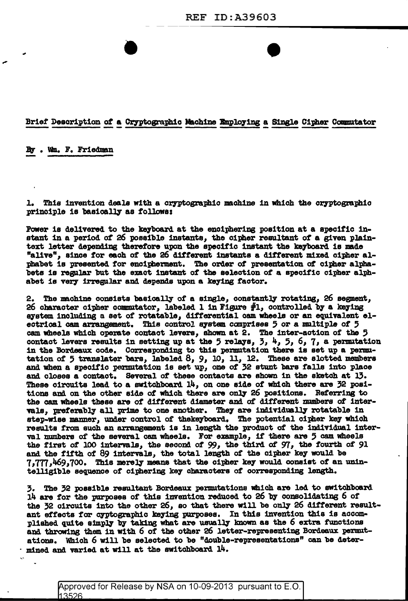## Brief Description of a Cryptographic Machine Employing a Single Cipher Commutator

By . Wm. F. Friedman

1. This invention deals with a cryptographic machine in which the cryptographic principle is basically as follows:

Power is delivered to the keyboard at the enciphering position at a specific instant in a period of 26 possible instants, the cipher resultant of a given plaintext letter depending therefore upon the specific instant the keyboard is made "alive", since for each of the 26 different instants a different mixed cipher alphabet is presented for encipherment. The order of presentation of cipher alphabets is regular but the exact instant of the selection of a specific cipher alphabet is very irregular and depends upon a keying factor.

The machine consists basically of a single, constantly rotating, 26 segment, 2. 26 character cipher commutator, labeled 1 in Figure  $#1$ , controlled by a keying system including a set of rotatable, differential cam wheels or an equivalent electrical cam arrangement. This control system comprises 5 or a multiple of 5 cam wheels which operate contact levers, shown at 2. The inter-action of the 5 contact levers results in setting up at the 5 relays,  $3, \frac{1}{7}, 5, 6, 7$ , a permutation in the Bordeaux code. Corresponding to this permutation there is set up a permutation of 5 translater bars, labeled  $8$ ,  $9$ ,  $10$ ,  $11$ ,  $12$ . These are slotted members and when a specific permutation is set up, one of 32 stunt bars falls into place and closes a contact. Several of these contacts are shown in the sketch at 13. These circuits lead to a switchboard  $14$ , on one side of which there are  $32$  positions and on the other side of which there are only 26 positions. Referring to the cam wheels these are of different diameter and of different numbers of intervals, preferably all prime to one another. They are individually rotatable in step-wise manner, under control of thekeyboard. The potential cipher key which results from such an arrangement is in length the product of the individual interval numbers of the several cam wheels. For example, if there are 5 cam wheels the first of 100 intervals, the second of 99, the third of 97, the fourth of 91 and the fifth of 89 intervals, the total length of the cipher key would be 7,777,469,700. This merely means that the cipher key would consist of an unintelligible sequence of ciphering key characters of corresponding length.

3. The 32 possible resultant Bordeaux permutations which are led to switchboard 14 are for the purposes of this invention reduced to 26 by consolidating 6 of the 32 circuits into the other 26, so that there will be only 26 different resultant effects for cyptographic keying purposes. In this invention this is accomplished quite simply by taking what are usually known as the 6 extra functions and throwing them in with 6 of the other 26 letter-representing Bordeaux permutations. Which 6 will be selected to be "double-representations" can be deter- $\cdot$  mined and varied at will at the switchboard  $14$ .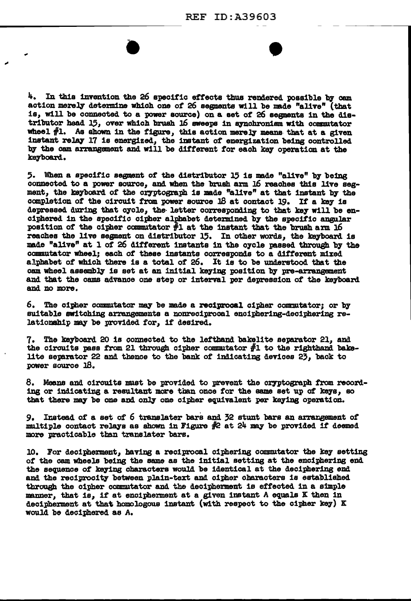$4.$  In this invention the 26 specific effects thus rendered possible by cam action merely determine which one of 26 segments will be made "alive" (that is, will be connected to a power source) on a set of 26 segments in the distributor head 15, over which brush  $16$  sweeps in synchronism with commutator wheel  $#1.$  As shown in the figure, this action merely means- that at a given instant relq 17 is energized, the :lmtant *ot* energization be1Dg controlled by the cam arrangement and will be different for each key operation at the keyboard.

 $\overline{\phantom{a}}$ 

5. When a specific segment of the distributor 15 is made "alive" by being connected to a power source, and when the brush arm 16 reaches this live segment, the keyboard of the cryptograph is made "alive" at that instant by the completion of the circuit from power source  $18$  at contact  $19$ . If a key is depressed during that cycle, the letter corresponding to that key will be enciphered in the specific cipher alphabet determined by the specific angular position of the cipher commutator  $#1$  at the instant that the brush arm. 16 reaches the live segment on distributor 15. In other words, the keyboard is made "alive" at 1 of 26 different instants in the cycle passed through by the commutator wheel; each of these instants corresponds to a different mixed alphabet of which there is a total of  $26$ . It is to be understood that the cam wheel assembly is set at an initial keying position by pre-arrangement and that the cams advance one step or interval per depression of the keyboard and no more.

 $6.$  The cipher commutator may be made a reciprocal cipher commutator; or by suitable switching arrangements a nonreciprocal enciphering-deciphering relationship may be provided for, if desired.

7. The ke7board 20 is connected to the lefthand bakelite separator 21, and the circuits pass from 21 through cipher commutator  $#1$  to the righthand bakelite separator 22 and thence to the bank of indicating devices  $2\overline{3}$ , back to power source 18.

8. Means and circuits must be provided to prevent the cryptograph from recording or indicating a resultant more than once for the same set up of keys, so that there may be one and only one cipher equivalent per keying operation.

9. Instead of a set of 6 translater bars and 32 stunt bars an arrangement of multiple contact relays as shown in Figure  $#2$  at 24 may be provided if deemed more practicable than translater bars.

10. For decipherment, having a reciprocal ciphering commutator the key setting of the cam wheels being the same as the initial setting at the enciphering end the sequence of keying characters would be identical at the deciphering end and the reciprocity between plain-text and cipher characters is established through the cipher commutator and the decipherment is effected in a simple manner, that is, if at encipherment at a given instant A equals K then in decipherment at that homologous instant (with respect to the cipher key)  $K$ would be deciphered as A.